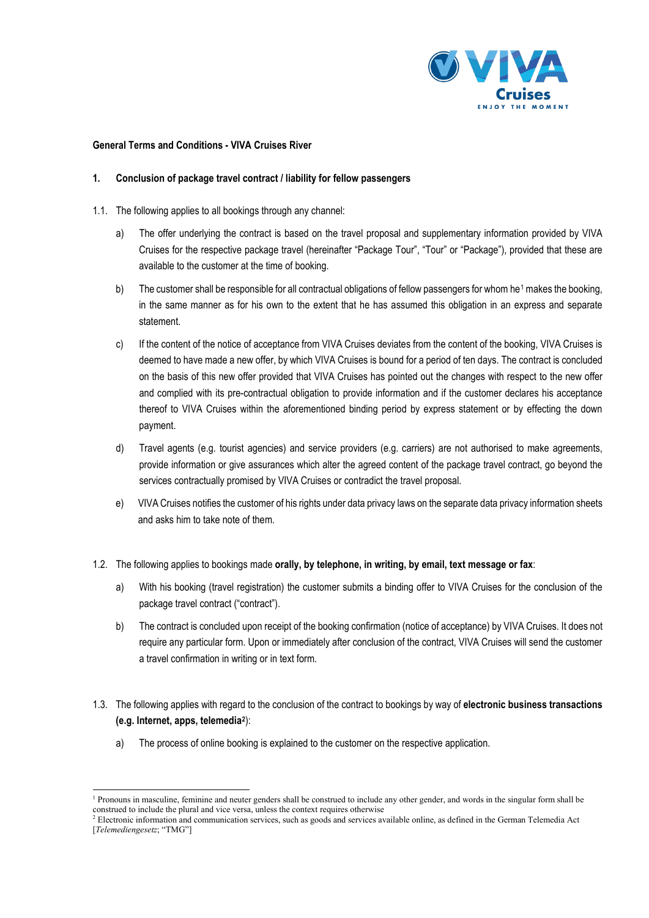

#### **General Terms and Conditions - VIVA Cruises River**

## **1. Conclusion of package travel contract / liability for fellow passengers**

- 1.1. The following applies to all bookings through any channel:
	- a) The offer underlying the contract is based on the travel proposal and supplementary information provided by VIVA Cruises for the respective package travel (hereinafter "Package Tour", "Tour" or "Package"), provided that these are available to the customer at the time of booking.
	- b) The customer shall be responsible for all contractual obligations of fellow passengers for whom he<sup>[1](#page--1-0)</sup> makes the booking, in the same manner as for his own to the extent that he has assumed this obligation in an express and separate statement.
	- c) If the content of the notice of acceptance from VIVA Cruises deviates from the content of the booking, VIVA Cruises is deemed to have made a new offer, by which VIVA Cruises is bound for a period of ten days. The contract is concluded on the basis of this new offer provided that VIVA Cruises has pointed out the changes with respect to the new offer and complied with its pre-contractual obligation to provide information and if the customer declares his acceptance thereof to VIVA Cruises within the aforementioned binding period by express statement or by effecting the down payment.
	- d) Travel agents (e.g. tourist agencies) and service providers (e.g. carriers) are not authorised to make agreements, provide information or give assurances which alter the agreed content of the package travel contract, go beyond the services contractually promised by VIVA Cruises or contradict the travel proposal.
	- e) VIVA Cruises notifies the customer of his rights under data privacy laws on the separate data privacy information sheets and asks him to take note of them.
- 1.2. The following applies to bookings made **orally, by telephone, in writing, by email, text message or fax**:
	- a) With his booking (travel registration) the customer submits a binding offer to VIVA Cruises for the conclusion of the package travel contract ("contract").
	- b) The contract is concluded upon receipt of the booking confirmation (notice of acceptance) by VIVA Cruises. It does not require any particular form. Upon or immediately after conclusion of the contract, VIVA Cruises will send the customer a travel confirmation in writing or in text form.
- 1.3. The following applies with regard to the conclusion of the contract to bookings by way of **electronic business transactions (e.g. Internet, apps, telemedia[2](#page--1-1)**):
	- a) The process of online booking is explained to the customer on the respective application.

<sup>&</sup>lt;sup>1</sup> Pronouns in masculine, feminine and neuter genders shall be construed to include any other gender, and words in the singular form shall be construed to include the plural and vice versa, unless the context requires otherwise

 $<sup>2</sup>$  Electronic information and communication services, such as goods and services available online, as defined in the German Telemedia Act</sup> [*Telemediengesetz*; "TMG"]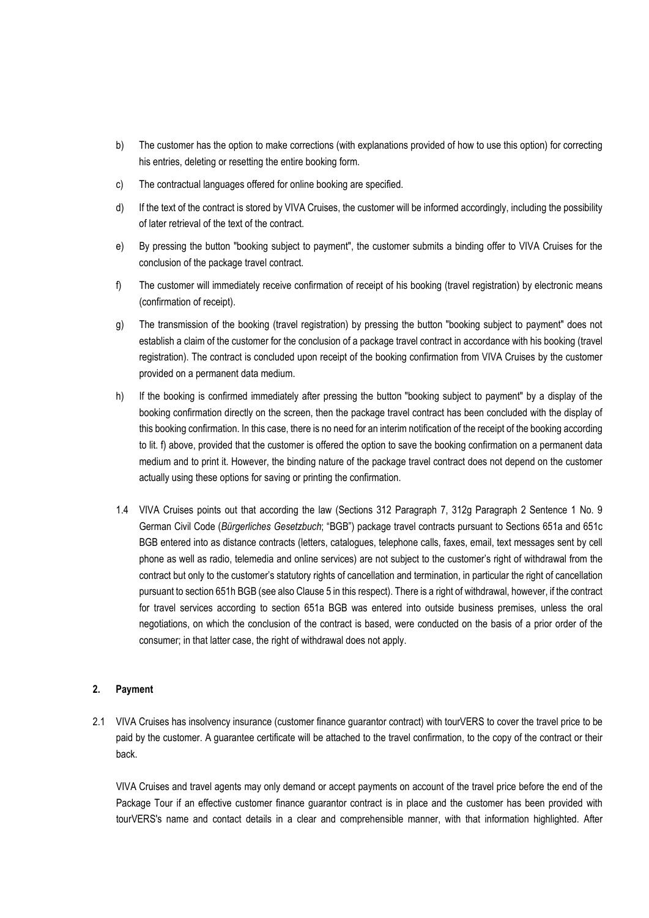- b) The customer has the option to make corrections (with explanations provided of how to use this option) for correcting his entries, deleting or resetting the entire booking form.
- c) The contractual languages offered for online booking are specified.
- d) If the text of the contract is stored by VIVA Cruises, the customer will be informed accordingly, including the possibility of later retrieval of the text of the contract.
- e) By pressing the button "booking subject to payment", the customer submits a binding offer to VIVA Cruises for the conclusion of the package travel contract.
- f) The customer will immediately receive confirmation of receipt of his booking (travel registration) by electronic means (confirmation of receipt).
- g) The transmission of the booking (travel registration) by pressing the button "booking subject to payment" does not establish a claim of the customer for the conclusion of a package travel contract in accordance with his booking (travel registration). The contract is concluded upon receipt of the booking confirmation from VIVA Cruises by the customer provided on a permanent data medium.
- h) If the booking is confirmed immediately after pressing the button "booking subject to payment" by a display of the booking confirmation directly on the screen, then the package travel contract has been concluded with the display of this booking confirmation. In this case, there is no need for an interim notification of the receipt of the booking according to lit. f) above, provided that the customer is offered the option to save the booking confirmation on a permanent data medium and to print it. However, the binding nature of the package travel contract does not depend on the customer actually using these options for saving or printing the confirmation.
- 1.4 VIVA Cruises points out that according the law (Sections 312 Paragraph 7, 312g Paragraph 2 Sentence 1 No. 9 German Civil Code (*Bürgerliches Gesetzbuch*; "BGB") package travel contracts pursuant to Sections 651a and 651c BGB entered into as distance contracts (letters, catalogues, telephone calls, faxes, email, text messages sent by cell phone as well as radio, telemedia and online services) are not subject to the customer's right of withdrawal from the contract but only to the customer's statutory rights of cancellation and termination, in particular the right of cancellation pursuant to section 651h BGB (see also Clause 5 in this respect). There is a right of withdrawal, however, if the contract for travel services according to section 651a BGB was entered into outside business premises, unless the oral negotiations, on which the conclusion of the contract is based, were conducted on the basis of a prior order of the consumer; in that latter case, the right of withdrawal does not apply.

# **2. Payment**

2.1 VIVA Cruises has insolvency insurance (customer finance guarantor contract) with tourVERS to cover the travel price to be paid by the customer. A guarantee certificate will be attached to the travel confirmation, to the copy of the contract or their back.

VIVA Cruises and travel agents may only demand or accept payments on account of the travel price before the end of the Package Tour if an effective customer finance guarantor contract is in place and the customer has been provided with tourVERS's name and contact details in a clear and comprehensible manner, with that information highlighted. After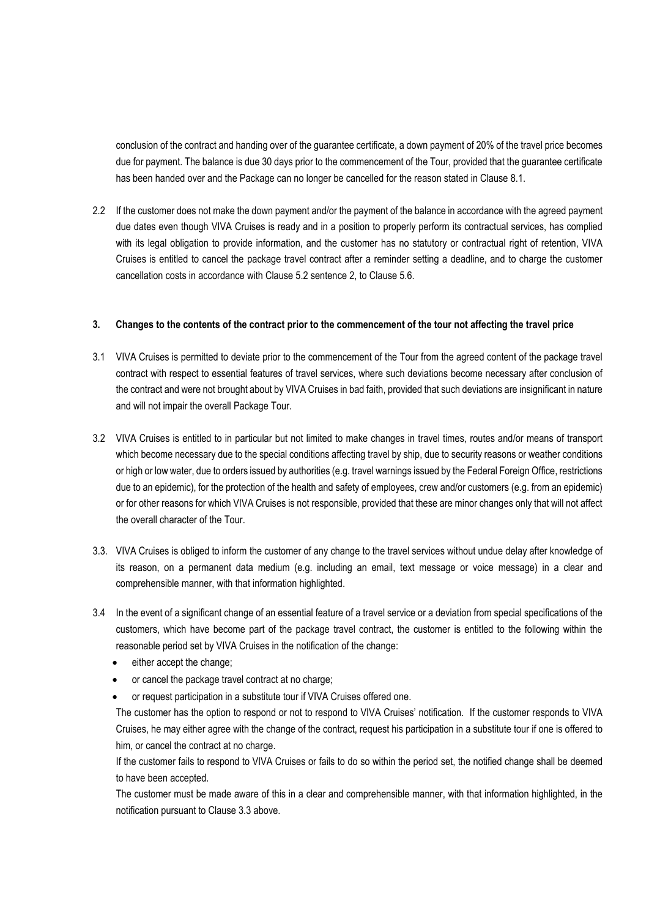conclusion of the contract and handing over of the guarantee certificate, a down payment of 20% of the travel price becomes due for payment. The balance is due 30 days prior to the commencement of the Tour, provided that the guarantee certificate has been handed over and the Package can no longer be cancelled for the reason stated in Clause 8.1.

2.2 If the customer does not make the down payment and/or the payment of the balance in accordance with the agreed payment due dates even though VIVA Cruises is ready and in a position to properly perform its contractual services, has complied with its legal obligation to provide information, and the customer has no statutory or contractual right of retention, VIVA Cruises is entitled to cancel the package travel contract after a reminder setting a deadline, and to charge the customer cancellation costs in accordance with Clause 5.2 sentence 2, to Clause 5.6.

#### **3. Changes to the contents of the contract prior to the commencement of the tour not affecting the travel price**

- 3.1 VIVA Cruises is permitted to deviate prior to the commencement of the Tour from the agreed content of the package travel contract with respect to essential features of travel services, where such deviations become necessary after conclusion of the contract and were not brought about by VIVA Cruises in bad faith, provided that such deviations are insignificant in nature and will not impair the overall Package Tour.
- 3.2 VIVA Cruises is entitled to in particular but not limited to make changes in travel times, routes and/or means of transport which become necessary due to the special conditions affecting travel by ship, due to security reasons or weather conditions or high or low water, due to orders issued by authorities (e.g. travel warnings issued by the Federal Foreign Office, restrictions due to an epidemic), for the protection of the health and safety of employees, crew and/or customers (e.g. from an epidemic) or for other reasons for which VIVA Cruises is not responsible, provided that these are minor changes only that will not affect the overall character of the Tour.
- 3.3. VIVA Cruises is obliged to inform the customer of any change to the travel services without undue delay after knowledge of its reason, on a permanent data medium (e.g. including an email, text message or voice message) in a clear and comprehensible manner, with that information highlighted.
- 3.4 In the event of a significant change of an essential feature of a travel service or a deviation from special specifications of the customers, which have become part of the package travel contract, the customer is entitled to the following within the reasonable period set by VIVA Cruises in the notification of the change:
	- either accept the change;
	- or cancel the package travel contract at no charge;
	- or request participation in a substitute tour if VIVA Cruises offered one.

The customer has the option to respond or not to respond to VIVA Cruises' notification. If the customer responds to VIVA Cruises, he may either agree with the change of the contract, request his participation in a substitute tour if one is offered to him, or cancel the contract at no charge.

If the customer fails to respond to VIVA Cruises or fails to do so within the period set, the notified change shall be deemed to have been accepted.

The customer must be made aware of this in a clear and comprehensible manner, with that information highlighted, in the notification pursuant to Clause 3.3 above.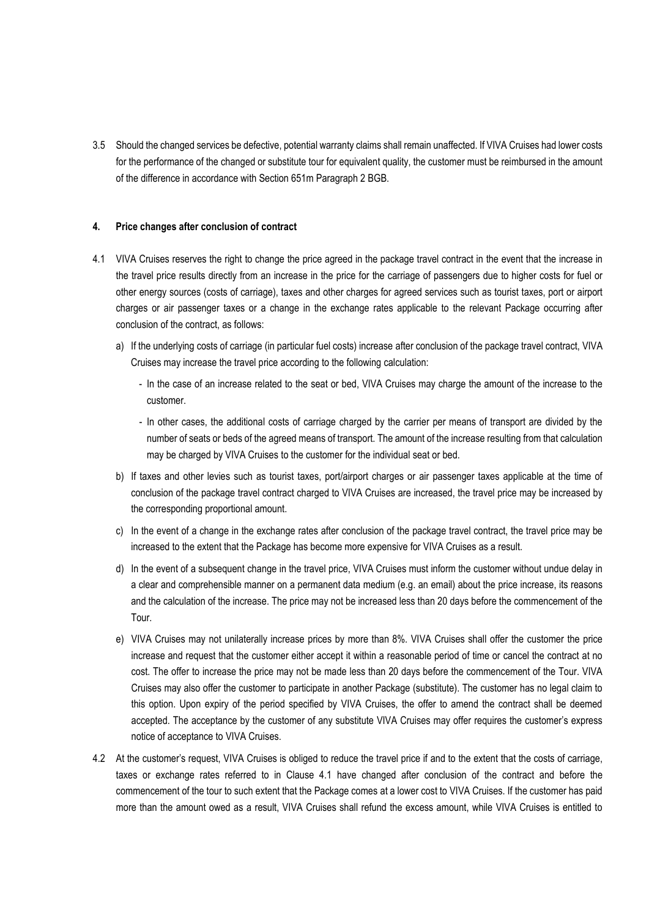3.5 Should the changed services be defective, potential warranty claims shall remain unaffected. If VIVA Cruises had lower costs for the performance of the changed or substitute tour for equivalent quality, the customer must be reimbursed in the amount of the difference in accordance with Section 651m Paragraph 2 BGB.

#### **4. Price changes after conclusion of contract**

- 4.1 VIVA Cruises reserves the right to change the price agreed in the package travel contract in the event that the increase in the travel price results directly from an increase in the price for the carriage of passengers due to higher costs for fuel or other energy sources (costs of carriage), taxes and other charges for agreed services such as tourist taxes, port or airport charges or air passenger taxes or a change in the exchange rates applicable to the relevant Package occurring after conclusion of the contract, as follows:
	- a) If the underlying costs of carriage (in particular fuel costs) increase after conclusion of the package travel contract, VIVA Cruises may increase the travel price according to the following calculation:
		- In the case of an increase related to the seat or bed, VIVA Cruises may charge the amount of the increase to the customer.
		- In other cases, the additional costs of carriage charged by the carrier per means of transport are divided by the number of seats or beds of the agreed means of transport. The amount of the increase resulting from that calculation may be charged by VIVA Cruises to the customer for the individual seat or bed.
	- b) If taxes and other levies such as tourist taxes, port/airport charges or air passenger taxes applicable at the time of conclusion of the package travel contract charged to VIVA Cruises are increased, the travel price may be increased by the corresponding proportional amount.
	- c) In the event of a change in the exchange rates after conclusion of the package travel contract, the travel price may be increased to the extent that the Package has become more expensive for VIVA Cruises as a result.
	- d) In the event of a subsequent change in the travel price, VIVA Cruises must inform the customer without undue delay in a clear and comprehensible manner on a permanent data medium (e.g. an email) about the price increase, its reasons and the calculation of the increase. The price may not be increased less than 20 days before the commencement of the Tour.
	- e) VIVA Cruises may not unilaterally increase prices by more than 8%. VIVA Cruises shall offer the customer the price increase and request that the customer either accept it within a reasonable period of time or cancel the contract at no cost. The offer to increase the price may not be made less than 20 days before the commencement of the Tour. VIVA Cruises may also offer the customer to participate in another Package (substitute). The customer has no legal claim to this option. Upon expiry of the period specified by VIVA Cruises, the offer to amend the contract shall be deemed accepted. The acceptance by the customer of any substitute VIVA Cruises may offer requires the customer's express notice of acceptance to VIVA Cruises.
- 4.2 At the customer's request, VIVA Cruises is obliged to reduce the travel price if and to the extent that the costs of carriage, taxes or exchange rates referred to in Clause 4.1 have changed after conclusion of the contract and before the commencement of the tour to such extent that the Package comes at a lower cost to VIVA Cruises. If the customer has paid more than the amount owed as a result, VIVA Cruises shall refund the excess amount, while VIVA Cruises is entitled to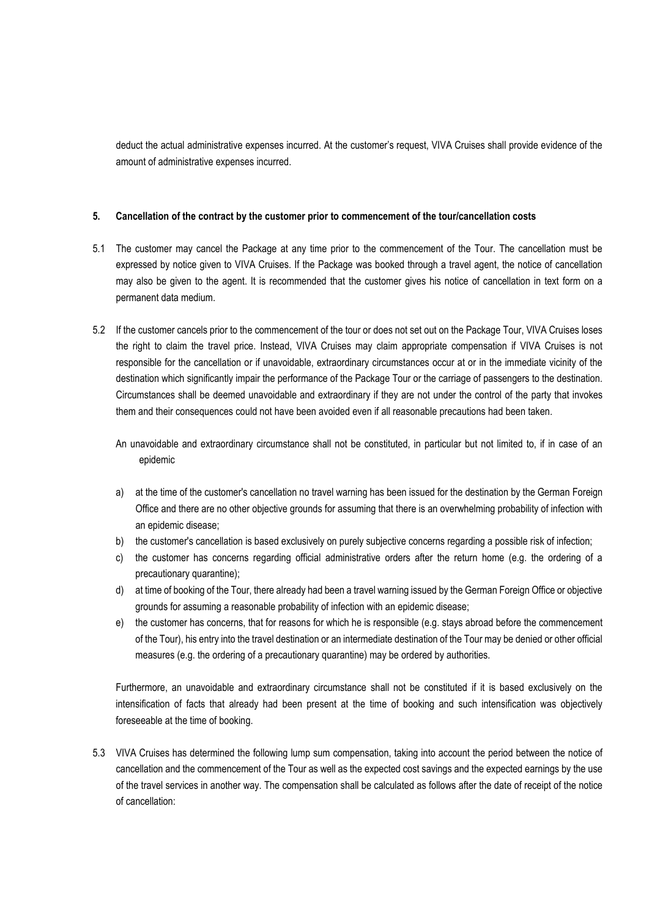deduct the actual administrative expenses incurred. At the customer's request, VIVA Cruises shall provide evidence of the amount of administrative expenses incurred.

## **5. Cancellation of the contract by the customer prior to commencement of the tour/cancellation costs**

- 5.1 The customer may cancel the Package at any time prior to the commencement of the Tour. The cancellation must be expressed by notice given to VIVA Cruises. If the Package was booked through a travel agent, the notice of cancellation may also be given to the agent. It is recommended that the customer gives his notice of cancellation in text form on a permanent data medium.
- 5.2 If the customer cancels prior to the commencement of the tour or does not set out on the Package Tour, VIVA Cruises loses the right to claim the travel price. Instead, VIVA Cruises may claim appropriate compensation if VIVA Cruises is not responsible for the cancellation or if unavoidable, extraordinary circumstances occur at or in the immediate vicinity of the destination which significantly impair the performance of the Package Tour or the carriage of passengers to the destination. Circumstances shall be deemed unavoidable and extraordinary if they are not under the control of the party that invokes them and their consequences could not have been avoided even if all reasonable precautions had been taken.

An unavoidable and extraordinary circumstance shall not be constituted, in particular but not limited to, if in case of an epidemic

- a) at the time of the customer's cancellation no travel warning has been issued for the destination by the German Foreign Office and there are no other objective grounds for assuming that there is an overwhelming probability of infection with an epidemic disease;
- b) the customer's cancellation is based exclusively on purely subjective concerns regarding a possible risk of infection;
- c) the customer has concerns regarding official administrative orders after the return home (e.g. the ordering of a precautionary quarantine);
- d) at time of booking of the Tour, there already had been a travel warning issued by the German Foreign Office or objective grounds for assuming a reasonable probability of infection with an epidemic disease;
- e) the customer has concerns, that for reasons for which he is responsible (e.g. stays abroad before the commencement of the Tour), his entry into the travel destination or an intermediate destination of the Tour may be denied or other official measures (e.g. the ordering of a precautionary quarantine) may be ordered by authorities.

Furthermore, an unavoidable and extraordinary circumstance shall not be constituted if it is based exclusively on the intensification of facts that already had been present at the time of booking and such intensification was objectively foreseeable at the time of booking.

5.3 VIVA Cruises has determined the following lump sum compensation, taking into account the period between the notice of cancellation and the commencement of the Tour as well as the expected cost savings and the expected earnings by the use of the travel services in another way. The compensation shall be calculated as follows after the date of receipt of the notice of cancellation: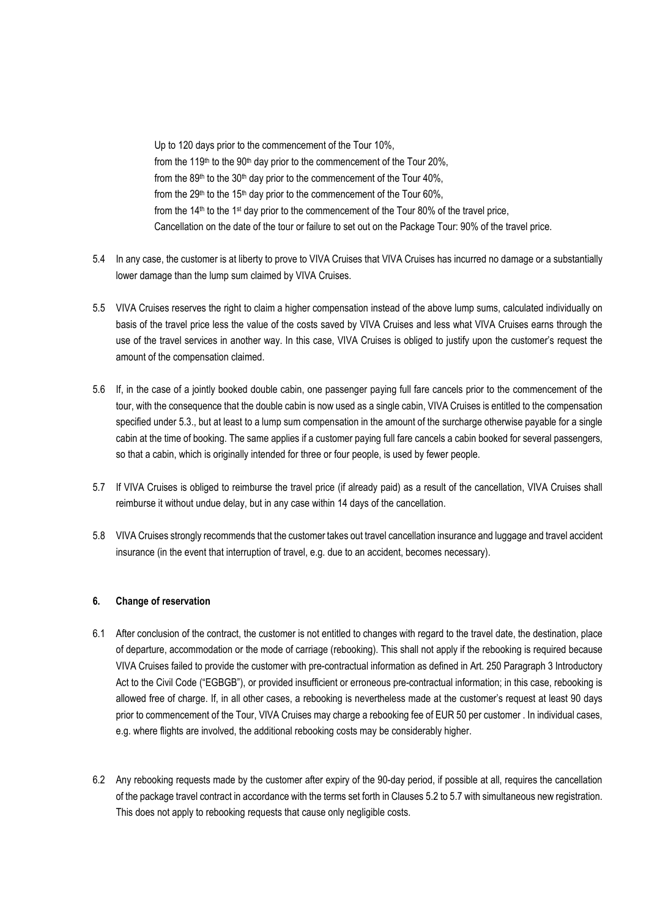Up to 120 days prior to the commencement of the Tour 10%, from the 119<sup>th</sup> to the 90<sup>th</sup> day prior to the commencement of the Tour 20%, from the 89<sup>th</sup> to the 30<sup>th</sup> day prior to the commencement of the Tour 40%. from the 29<sup>th</sup> to the 15<sup>th</sup> day prior to the commencement of the Tour 60%, from the 14<sup>th</sup> to the 1<sup>st</sup> day prior to the commencement of the Tour 80% of the travel price, Cancellation on the date of the tour or failure to set out on the Package Tour: 90% of the travel price.

- 5.4 In any case, the customer is at liberty to prove to VIVA Cruises that VIVA Cruises has incurred no damage or a substantially lower damage than the lump sum claimed by VIVA Cruises.
- 5.5 VIVA Cruises reserves the right to claim a higher compensation instead of the above lump sums, calculated individually on basis of the travel price less the value of the costs saved by VIVA Cruises and less what VIVA Cruises earns through the use of the travel services in another way. In this case, VIVA Cruises is obliged to justify upon the customer's request the amount of the compensation claimed.
- 5.6 If, in the case of a jointly booked double cabin, one passenger paying full fare cancels prior to the commencement of the tour, with the consequence that the double cabin is now used as a single cabin, VIVA Cruises is entitled to the compensation specified under 5.3., but at least to a lump sum compensation in the amount of the surcharge otherwise payable for a single cabin at the time of booking. The same applies if a customer paying full fare cancels a cabin booked for several passengers, so that a cabin, which is originally intended for three or four people, is used by fewer people.
- 5.7 If VIVA Cruises is obliged to reimburse the travel price (if already paid) as a result of the cancellation, VIVA Cruises shall reimburse it without undue delay, but in any case within 14 days of the cancellation.
- 5.8 VIVA Cruises strongly recommends that the customer takes out travel cancellation insurance and luggage and travel accident insurance (in the event that interruption of travel, e.g. due to an accident, becomes necessary).

# **6. Change of reservation**

- 6.1 After conclusion of the contract, the customer is not entitled to changes with regard to the travel date, the destination, place of departure, accommodation or the mode of carriage (rebooking). This shall not apply if the rebooking is required because VIVA Cruises failed to provide the customer with pre-contractual information as defined in Art. 250 Paragraph 3 Introductory Act to the Civil Code ("EGBGB"), or provided insufficient or erroneous pre-contractual information; in this case, rebooking is allowed free of charge. If, in all other cases, a rebooking is nevertheless made at the customer's request at least 90 days prior to commencement of the Tour, VIVA Cruises may charge a rebooking fee of EUR 50 per customer . In individual cases, e.g. where flights are involved, the additional rebooking costs may be considerably higher.
- 6.2 Any rebooking requests made by the customer after expiry of the 90-day period, if possible at all, requires the cancellation of the package travel contract in accordance with the terms set forth in Clauses 5.2 to 5.7 with simultaneous new registration. This does not apply to rebooking requests that cause only negligible costs.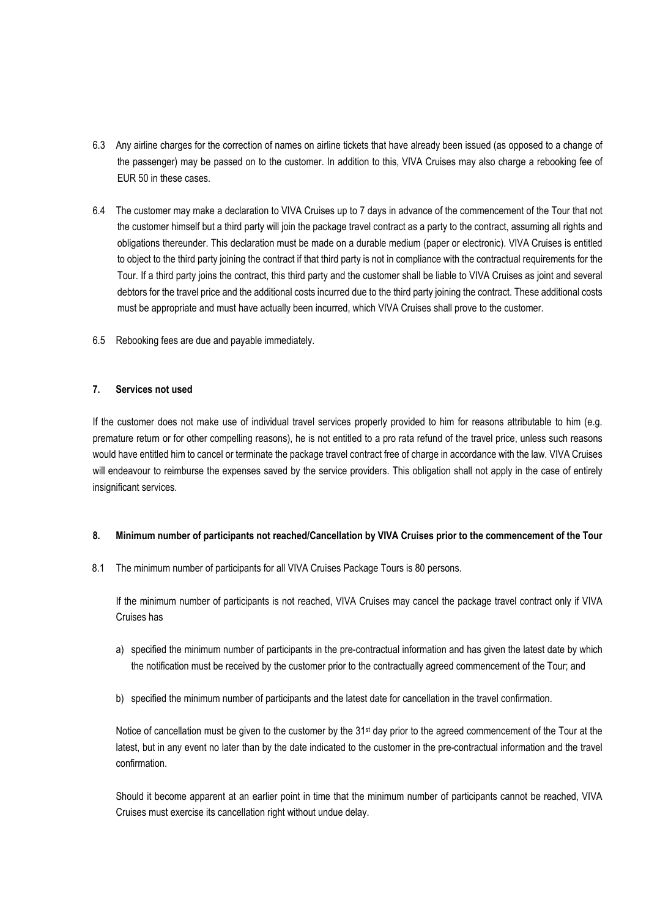- 6.3 Any airline charges for the correction of names on airline tickets that have already been issued (as opposed to a change of the passenger) may be passed on to the customer. In addition to this, VIVA Cruises may also charge a rebooking fee of EUR 50 in these cases.
- 6.4 The customer may make a declaration to VIVA Cruises up to 7 days in advance of the commencement of the Tour that not the customer himself but a third party will join the package travel contract as a party to the contract, assuming all rights and obligations thereunder. This declaration must be made on a durable medium (paper or electronic). VIVA Cruises is entitled to object to the third party joining the contract if that third party is not in compliance with the contractual requirements for the Tour. If a third party joins the contract, this third party and the customer shall be liable to VIVA Cruises as joint and several debtors for the travel price and the additional costs incurred due to the third party joining the contract. These additional costs must be appropriate and must have actually been incurred, which VIVA Cruises shall prove to the customer.
- 6.5 Rebooking fees are due and payable immediately.

## **7. Services not used**

If the customer does not make use of individual travel services properly provided to him for reasons attributable to him (e.g. premature return or for other compelling reasons), he is not entitled to a pro rata refund of the travel price, unless such reasons would have entitled him to cancel or terminate the package travel contract free of charge in accordance with the law. VIVA Cruises will endeavour to reimburse the expenses saved by the service providers. This obligation shall not apply in the case of entirely insignificant services.

#### **8. Minimum number of participants not reached/Cancellation by VIVA Cruises prior to the commencement of the Tour**

8.1 The minimum number of participants for all VIVA Cruises Package Tours is 80 persons.

If the minimum number of participants is not reached, VIVA Cruises may cancel the package travel contract only if VIVA Cruises has

- a) specified the minimum number of participants in the pre-contractual information and has given the latest date by which the notification must be received by the customer prior to the contractually agreed commencement of the Tour; and
- b) specified the minimum number of participants and the latest date for cancellation in the travel confirmation.

Notice of cancellation must be given to the customer by the 31<sup>st</sup> day prior to the agreed commencement of the Tour at the latest, but in any event no later than by the date indicated to the customer in the pre-contractual information and the travel confirmation.

Should it become apparent at an earlier point in time that the minimum number of participants cannot be reached, VIVA Cruises must exercise its cancellation right without undue delay.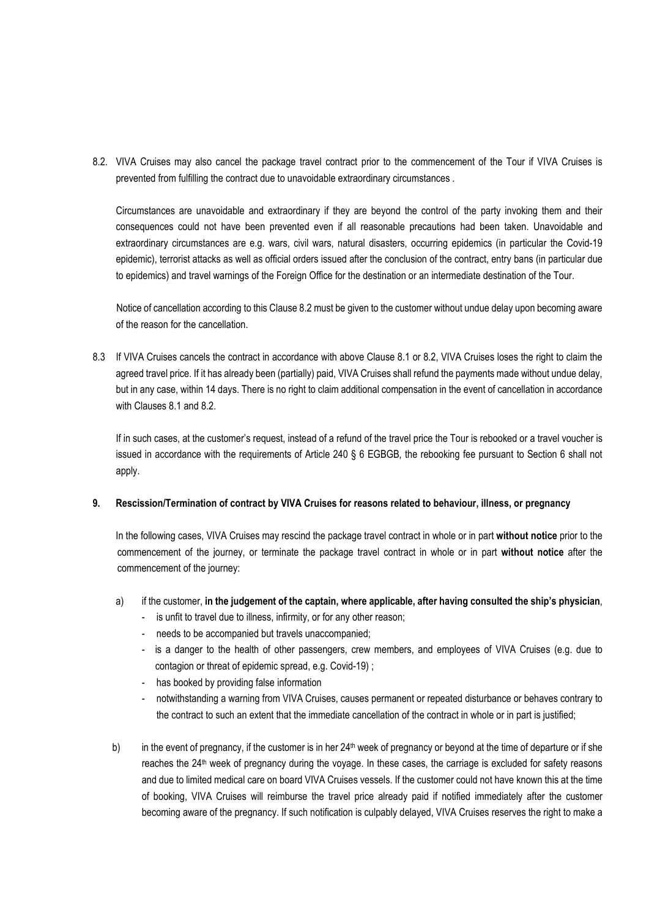8.2. VIVA Cruises may also cancel the package travel contract prior to the commencement of the Tour if VIVA Cruises is prevented from fulfilling the contract due to unavoidable extraordinary circumstances .

Circumstances are unavoidable and extraordinary if they are beyond the control of the party invoking them and their consequences could not have been prevented even if all reasonable precautions had been taken. Unavoidable and extraordinary circumstances are e.g. wars, civil wars, natural disasters, occurring epidemics (in particular the Covid-19 epidemic), terrorist attacks as well as official orders issued after the conclusion of the contract, entry bans (in particular due to epidemics) and travel warnings of the Foreign Office for the destination or an intermediate destination of the Tour.

Notice of cancellation according to this Clause 8.2 must be given to the customer without undue delay upon becoming aware of the reason for the cancellation.

8.3 If VIVA Cruises cancels the contract in accordance with above Clause 8.1 or 8.2, VIVA Cruises loses the right to claim the agreed travel price. If it has already been (partially) paid, VIVA Cruises shall refund the payments made without undue delay, but in any case, within 14 days. There is no right to claim additional compensation in the event of cancellation in accordance with Clauses 8.1 and 8.2.

If in such cases, at the customer's request, instead of a refund of the travel price the Tour is rebooked or a travel voucher is issued in accordance with the requirements of Article 240 § 6 EGBGB, the rebooking fee pursuant to Section 6 shall not apply.

# **9. Rescission/Termination of contract by VIVA Cruises for reasons related to behaviour, illness, or pregnancy**

In the following cases, VIVA Cruises may rescind the package travel contract in whole or in part **without notice** prior to the commencement of the journey, or terminate the package travel contract in whole or in part **without notice** after the commencement of the journey:

# a) if the customer, **in the judgement of the captain, where applicable, after having consulted the ship's physician**,

- is unfit to travel due to illness, infirmity, or for any other reason;
- needs to be accompanied but travels unaccompanied;
- is a danger to the health of other passengers, crew members, and employees of VIVA Cruises (e.g. due to contagion or threat of epidemic spread, e.g. Covid-19) ;
- has booked by providing false information
- notwithstanding a warning from VIVA Cruises, causes permanent or repeated disturbance or behaves contrary to the contract to such an extent that the immediate cancellation of the contract in whole or in part is justified;
- b) in the event of pregnancy, if the customer is in her 24<sup>th</sup> week of pregnancy or beyond at the time of departure or if she reaches the 24th week of pregnancy during the voyage. In these cases, the carriage is excluded for safety reasons and due to limited medical care on board VIVA Cruises vessels. If the customer could not have known this at the time of booking, VIVA Cruises will reimburse the travel price already paid if notified immediately after the customer becoming aware of the pregnancy. If such notification is culpably delayed, VIVA Cruises reserves the right to make a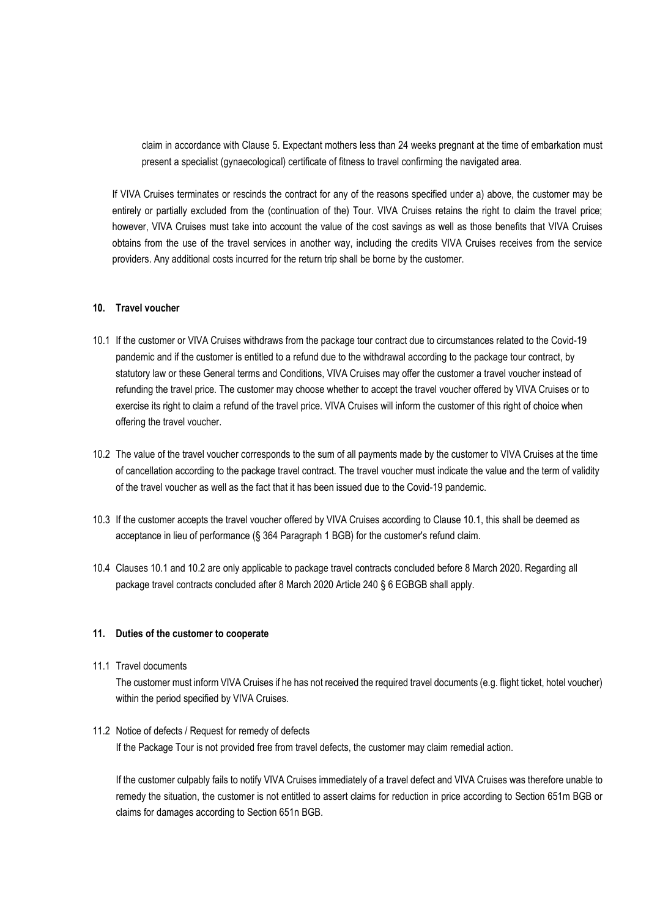claim in accordance with Clause 5. Expectant mothers less than 24 weeks pregnant at the time of embarkation must present a specialist (gynaecological) certificate of fitness to travel confirming the navigated area.

If VIVA Cruises terminates or rescinds the contract for any of the reasons specified under a) above, the customer may be entirely or partially excluded from the (continuation of the) Tour. VIVA Cruises retains the right to claim the travel price; however, VIVA Cruises must take into account the value of the cost savings as well as those benefits that VIVA Cruises obtains from the use of the travel services in another way, including the credits VIVA Cruises receives from the service providers. Any additional costs incurred for the return trip shall be borne by the customer.

# **10. Travel voucher**

- 10.1 If the customer or VIVA Cruises withdraws from the package tour contract due to circumstances related to the Covid-19 pandemic and if the customer is entitled to a refund due to the withdrawal according to the package tour contract, by statutory law or these General terms and Conditions, VIVA Cruises may offer the customer a travel voucher instead of refunding the travel price. The customer may choose whether to accept the travel voucher offered by VIVA Cruises or to exercise its right to claim a refund of the travel price. VIVA Cruises will inform the customer of this right of choice when offering the travel voucher.
- 10.2 The value of the travel voucher corresponds to the sum of all payments made by the customer to VIVA Cruises at the time of cancellation according to the package travel contract. The travel voucher must indicate the value and the term of validity of the travel voucher as well as the fact that it has been issued due to the Covid-19 pandemic.
- 10.3 If the customer accepts the travel voucher offered by VIVA Cruises according to Clause 10.1, this shall be deemed as acceptance in lieu of performance (§ 364 Paragraph 1 BGB) for the customer's refund claim.
- 10.4 Clauses 10.1 and 10.2 are only applicable to package travel contracts concluded before 8 March 2020. Regarding all package travel contracts concluded after 8 March 2020 Article 240 § 6 EGBGB shall apply.

#### **11. Duties of the customer to cooperate**

11.1 Travel documents

The customer must inform VIVA Cruises if he has not received the required travel documents (e.g. flight ticket, hotel voucher) within the period specified by VIVA Cruises.

#### 11.2 Notice of defects / Request for remedy of defects

If the Package Tour is not provided free from travel defects, the customer may claim remedial action.

If the customer culpably fails to notify VIVA Cruises immediately of a travel defect and VIVA Cruises was therefore unable to remedy the situation, the customer is not entitled to assert claims for reduction in price according to Section 651m BGB or claims for damages according to Section 651n BGB.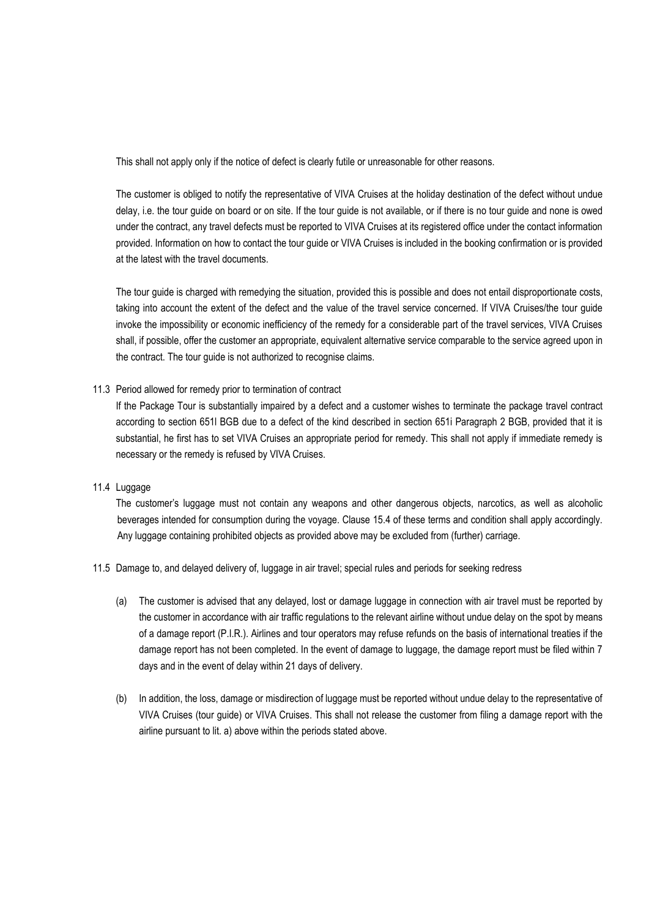This shall not apply only if the notice of defect is clearly futile or unreasonable for other reasons.

The customer is obliged to notify the representative of VIVA Cruises at the holiday destination of the defect without undue delay, i.e. the tour guide on board or on site. If the tour guide is not available, or if there is no tour guide and none is owed under the contract, any travel defects must be reported to VIVA Cruises at its registered office under the contact information provided. Information on how to contact the tour guide or VIVA Cruises is included in the booking confirmation or is provided at the latest with the travel documents.

The tour guide is charged with remedying the situation, provided this is possible and does not entail disproportionate costs, taking into account the extent of the defect and the value of the travel service concerned. If VIVA Cruises/the tour guide invoke the impossibility or economic inefficiency of the remedy for a considerable part of the travel services, VIVA Cruises shall, if possible, offer the customer an appropriate, equivalent alternative service comparable to the service agreed upon in the contract. The tour guide is not authorized to recognise claims.

#### 11.3 Period allowed for remedy prior to termination of contract

If the Package Tour is substantially impaired by a defect and a customer wishes to terminate the package travel contract according to section 651l BGB due to a defect of the kind described in section 651i Paragraph 2 BGB, provided that it is substantial, he first has to set VIVA Cruises an appropriate period for remedy. This shall not apply if immediate remedy is necessary or the remedy is refused by VIVA Cruises.

## 11.4 Luggage

The customer's luggage must not contain any weapons and other dangerous objects, narcotics, as well as alcoholic beverages intended for consumption during the voyage. Clause 15.4 of these terms and condition shall apply accordingly. Any luggage containing prohibited objects as provided above may be excluded from (further) carriage.

- 11.5 Damage to, and delayed delivery of, luggage in air travel; special rules and periods for seeking redress
	- (a) The customer is advised that any delayed, lost or damage luggage in connection with air travel must be reported by the customer in accordance with air traffic regulations to the relevant airline without undue delay on the spot by means of a damage report (P.I.R.). Airlines and tour operators may refuse refunds on the basis of international treaties if the damage report has not been completed. In the event of damage to luggage, the damage report must be filed within 7 days and in the event of delay within 21 days of delivery.
	- (b) In addition, the loss, damage or misdirection of luggage must be reported without undue delay to the representative of VIVA Cruises (tour guide) or VIVA Cruises. This shall not release the customer from filing a damage report with the airline pursuant to lit. a) above within the periods stated above.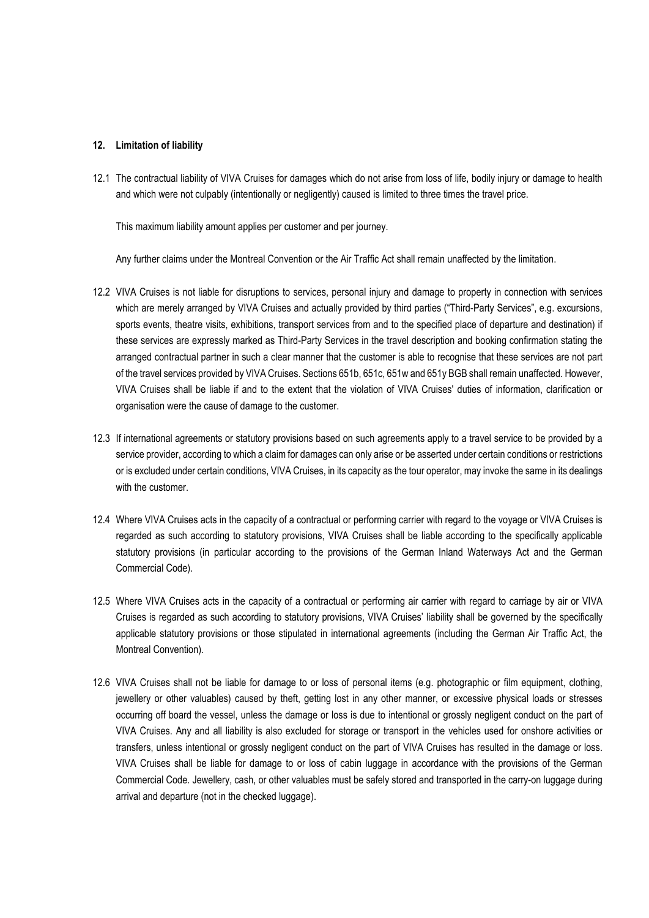## **12. Limitation of liability**

12.1 The contractual liability of VIVA Cruises for damages which do not arise from loss of life, bodily injury or damage to health and which were not culpably (intentionally or negligently) caused is limited to three times the travel price.

This maximum liability amount applies per customer and per journey.

Any further claims under the Montreal Convention or the Air Traffic Act shall remain unaffected by the limitation.

- 12.2 VIVA Cruises is not liable for disruptions to services, personal injury and damage to property in connection with services which are merely arranged by VIVA Cruises and actually provided by third parties ("Third-Party Services", e.g. excursions, sports events, theatre visits, exhibitions, transport services from and to the specified place of departure and destination) if these services are expressly marked as Third-Party Services in the travel description and booking confirmation stating the arranged contractual partner in such a clear manner that the customer is able to recognise that these services are not part of the travel services provided by VIVA Cruises. Sections 651b, 651c, 651w and 651y BGB shall remain unaffected. However, VIVA Cruises shall be liable if and to the extent that the violation of VIVA Cruises' duties of information, clarification or organisation were the cause of damage to the customer.
- 12.3 If international agreements or statutory provisions based on such agreements apply to a travel service to be provided by a service provider, according to which a claim for damages can only arise or be asserted under certain conditions or restrictions or is excluded under certain conditions, VIVA Cruises, in its capacity as the tour operator, may invoke the same in its dealings with the customer.
- 12.4 Where VIVA Cruises acts in the capacity of a contractual or performing carrier with regard to the voyage or VIVA Cruises is regarded as such according to statutory provisions, VIVA Cruises shall be liable according to the specifically applicable statutory provisions (in particular according to the provisions of the German Inland Waterways Act and the German Commercial Code).
- 12.5 Where VIVA Cruises acts in the capacity of a contractual or performing air carrier with regard to carriage by air or VIVA Cruises is regarded as such according to statutory provisions, VIVA Cruises' liability shall be governed by the specifically applicable statutory provisions or those stipulated in international agreements (including the German Air Traffic Act, the Montreal Convention).
- 12.6 VIVA Cruises shall not be liable for damage to or loss of personal items (e.g. photographic or film equipment, clothing, jewellery or other valuables) caused by theft, getting lost in any other manner, or excessive physical loads or stresses occurring off board the vessel, unless the damage or loss is due to intentional or grossly negligent conduct on the part of VIVA Cruises. Any and all liability is also excluded for storage or transport in the vehicles used for onshore activities or transfers, unless intentional or grossly negligent conduct on the part of VIVA Cruises has resulted in the damage or loss. VIVA Cruises shall be liable for damage to or loss of cabin luggage in accordance with the provisions of the German Commercial Code. Jewellery, cash, or other valuables must be safely stored and transported in the carry-on luggage during arrival and departure (not in the checked luggage).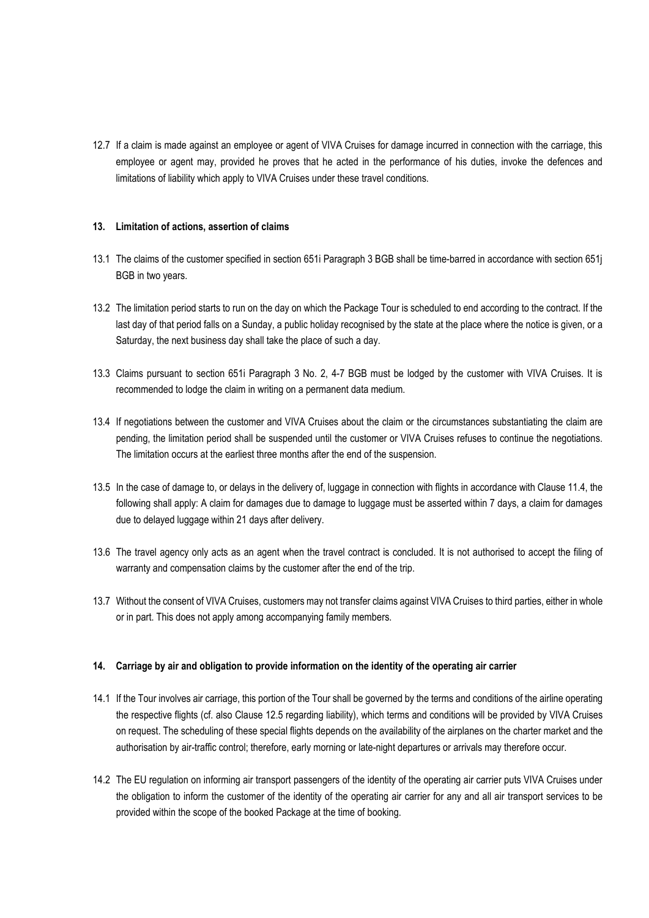12.7 If a claim is made against an employee or agent of VIVA Cruises for damage incurred in connection with the carriage, this employee or agent may, provided he proves that he acted in the performance of his duties, invoke the defences and limitations of liability which apply to VIVA Cruises under these travel conditions.

### **13. Limitation of actions, assertion of claims**

- 13.1 The claims of the customer specified in section 651i Paragraph 3 BGB shall be time-barred in accordance with section 651j BGB in two years.
- 13.2 The limitation period starts to run on the day on which the Package Tour is scheduled to end according to the contract. If the last day of that period falls on a Sunday, a public holiday recognised by the state at the place where the notice is given, or a Saturday, the next business day shall take the place of such a day.
- 13.3 Claims pursuant to section 651i Paragraph 3 No. 2, 4-7 BGB must be lodged by the customer with VIVA Cruises. It is recommended to lodge the claim in writing on a permanent data medium.
- 13.4 If negotiations between the customer and VIVA Cruises about the claim or the circumstances substantiating the claim are pending, the limitation period shall be suspended until the customer or VIVA Cruises refuses to continue the negotiations. The limitation occurs at the earliest three months after the end of the suspension.
- 13.5 In the case of damage to, or delays in the delivery of, luggage in connection with flights in accordance with Clause 11.4, the following shall apply: A claim for damages due to damage to luggage must be asserted within 7 days, a claim for damages due to delayed luggage within 21 days after delivery.
- 13.6 The travel agency only acts as an agent when the travel contract is concluded. It is not authorised to accept the filing of warranty and compensation claims by the customer after the end of the trip.
- 13.7 Without the consent of VIVA Cruises, customers may not transfer claims against VIVA Cruises to third parties, either in whole or in part. This does not apply among accompanying family members.

#### **14. Carriage by air and obligation to provide information on the identity of the operating air carrier**

- 14.1 If the Tour involves air carriage, this portion of the Tour shall be governed by the terms and conditions of the airline operating the respective flights (cf. also Clause 12.5 regarding liability), which terms and conditions will be provided by VIVA Cruises on request. The scheduling of these special flights depends on the availability of the airplanes on the charter market and the authorisation by air-traffic control; therefore, early morning or late-night departures or arrivals may therefore occur.
- 14.2 The EU regulation on informing air transport passengers of the identity of the operating air carrier puts VIVA Cruises under the obligation to inform the customer of the identity of the operating air carrier for any and all air transport services to be provided within the scope of the booked Package at the time of booking.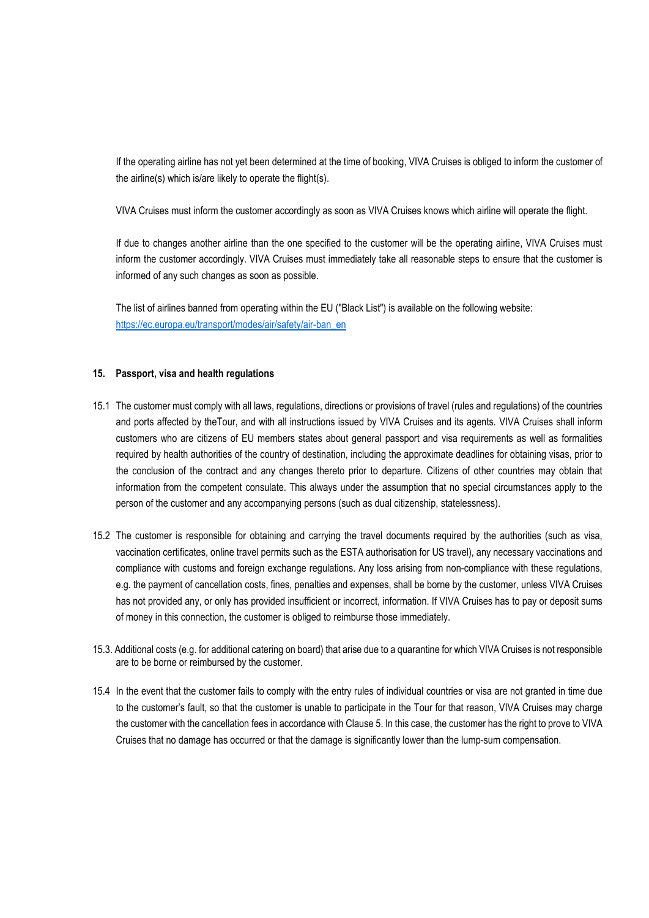If the operating airline has not yet been determined at the time of booking, VIVA Cruises is obliged to inform the customer of the airline(s) which is/are likely to operate the flight(s).

VIVA Cruises must inform the customer accordingly as soon as VIVA Cruises knows which airline will operate the flight.

If due to changes another airline than the one specified to the customer will be the operating airline, VIVA Cruises must inform the customer accordingly. VIVA Cruises must immediately take all reasonable steps to ensure that the customer is informed of any such changes as soon as possible.

The list of airlines banned from operating within the EU ("Black List") is available on the following website: [https://ec.europa.eu/transport/modes/air/safety/air-ban\\_en](https://ec.europa.eu/transport/modes/air/safety/air-ban_en)

#### **15. Passport, visa and health regulations**

- 15.1 The customer must comply with all laws, regulations, directions or provisions of travel (rules and regulations) of the countries and ports affected by theTour, and with all instructions issued by VIVA Cruises and its agents. VIVA Cruises shall inform customers who are citizens of EU members states about general passport and visa requirements as well as formalities required by health authorities of the country of destination, including the approximate deadlines for obtaining visas, prior to the conclusion of the contract and any changes thereto prior to departure. Citizens of other countries may obtain that information from the competent consulate. This always under the assumption that no special circumstances apply to the person of the customer and any accompanying persons (such as dual citizenship, statelessness).
- 15.2 The customer is responsible for obtaining and carrying the travel documents required by the authorities (such as visa, vaccination certificates, online travel permits such as the ESTA authorisation for US travel), any necessary vaccinations and compliance with customs and foreign exchange regulations. Any loss arising from non-compliance with these regulations, e.g. the payment of cancellation costs, fines, penalties and expenses, shall be borne by the customer, unless VIVA Cruises has not provided any, or only has provided insufficient or incorrect, information. If VIVA Cruises has to pay or deposit sums of money in this connection, the customer is obliged to reimburse those immediately.
- 15.3. Additional costs (e.g. for additional catering on board) that arise due to a quarantine for which VIVA Cruises is not responsible are to be borne or reimbursed by the customer.
- 15.4 In the event that the customer fails to comply with the entry rules of individual countries or visa are not granted in time due to the customer's fault, so that the customer is unable to participate in the Tour for that reason, VIVA Cruises may charge the customer with the cancellation fees in accordance with Clause 5. In this case, the customer has the right to prove to VIVA Cruises that no damage has occurred or that the damage is significantly lower than the lump-sum compensation.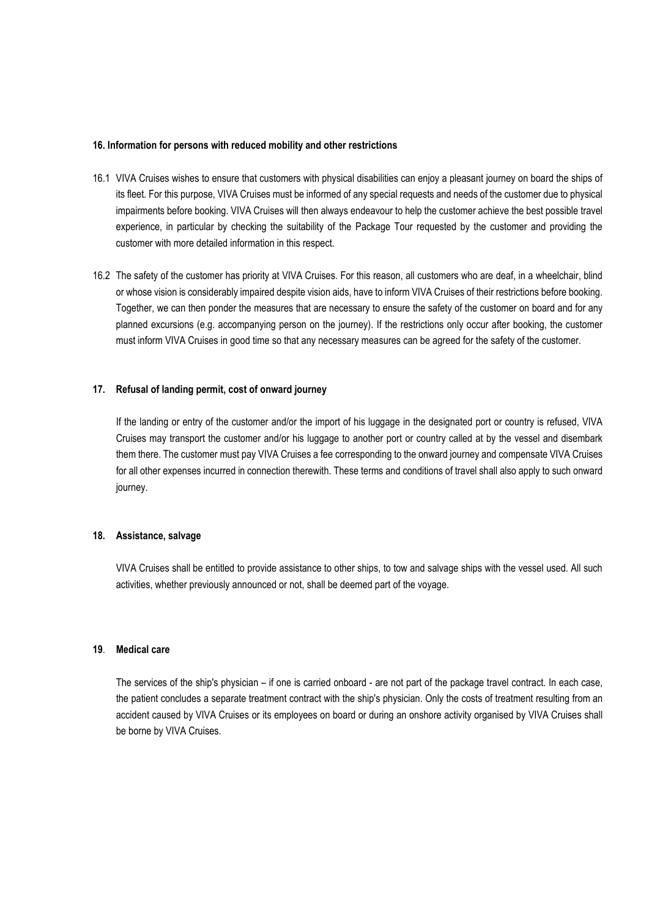## **16. Information for persons with reduced mobility and other restrictions**

- 16.1 VIVA Cruises wishes to ensure that customers with physical disabilities can enjoy a pleasant journey on board the ships of its fleet. For this purpose, VIVA Cruises must be informed of any special requests and needs of the customer due to physical impairments before booking. VIVA Cruises will then always endeavour to help the customer achieve the best possible travel experience, in particular by checking the suitability of the Package Tour requested by the customer and providing the customer with more detailed information in this respect.
- 16.2 The safety of the customer has priority at VIVA Cruises. For this reason, all customers who are deaf, in a wheelchair, blind or whose vision is considerably impaired despite vision aids, have to inform VIVA Cruises of their restrictions before booking. Together, we can then ponder the measures that are necessary to ensure the safety of the customer on board and for any planned excursions (e.g. accompanying person on the journey). If the restrictions only occur after booking, the customer must inform VIVA Cruises in good time so that any necessary measures can be agreed for the safety of the customer.

#### **17. Refusal of landing permit, cost of onward journey**

If the landing or entry of the customer and/or the import of his luggage in the designated port or country is refused, VIVA Cruises may transport the customer and/or his luggage to another port or country called at by the vessel and disembark them there. The customer must pay VIVA Cruises a fee corresponding to the onward journey and compensate VIVA Cruises for all other expenses incurred in connection therewith. These terms and conditions of travel shall also apply to such onward journey.

#### **18. Assistance, salvage**

VIVA Cruises shall be entitled to provide assistance to other ships, to tow and salvage ships with the vessel used. All such activities, whether previously announced or not, shall be deemed part of the voyage.

### **19**. **Medical care**

The services of the ship's physician – if one is carried onboard - are not part of the package travel contract. In each case, the patient concludes a separate treatment contract with the ship's physician. Only the costs of treatment resulting from an accident caused by VIVA Cruises or its employees on board or during an onshore activity organised by VIVA Cruises shall be borne by VIVA Cruises.